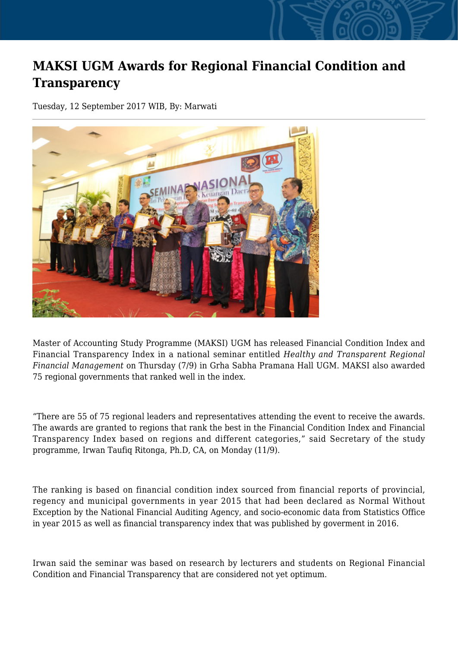## **MAKSI UGM Awards for Regional Financial Condition and Transparency**

Tuesday, 12 September 2017 WIB, By: Marwati



Master of Accounting Study Programme (MAKSI) UGM has released Financial Condition Index and Financial Transparency Index in a national seminar entitled *Healthy and Transparent Regional Financial Management* on Thursday (7/9) in Grha Sabha Pramana Hall UGM. MAKSI also awarded 75 regional governments that ranked well in the index.

"There are 55 of 75 regional leaders and representatives attending the event to receive the awards. The awards are granted to regions that rank the best in the Financial Condition Index and Financial Transparency Index based on regions and different categories," said Secretary of the study programme, Irwan Taufiq Ritonga, Ph.D, CA, on Monday (11/9).

The ranking is based on financial condition index sourced from financial reports of provincial, regency and municipal governments in year 2015 that had been declared as Normal Without Exception by the National Financial Auditing Agency, and socio-economic data from Statistics Office in year 2015 as well as financial transparency index that was published by goverment in 2016.

Irwan said the seminar was based on research by lecturers and students on Regional Financial Condition and Financial Transparency that are considered not yet optimum.